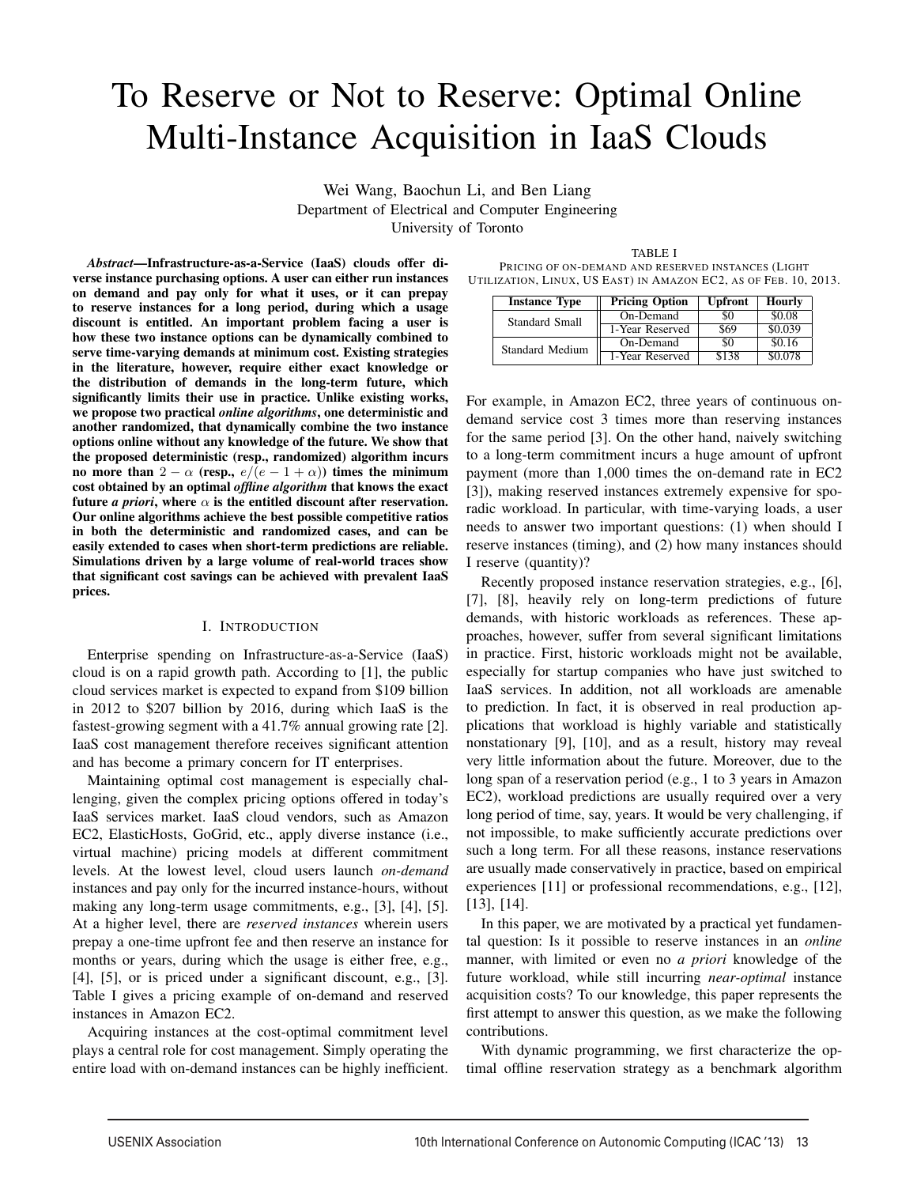# To Reserve or Not to Reserve: Optimal Online Multi-Instance Acquisition in IaaS Clouds

Wei Wang, Baochun Li, and Ben Liang Department of Electrical and Computer Engineering University of Toronto

*Abstract*—Infrastructure-as-a-Service (IaaS) clouds offer diverse instance purchasing options. A user can either run instances on demand and pay only for what it uses, or it can prepay to reserve instances for a long period, during which a usage discount is entitled. An important problem facing a user is how these two instance options can be dynamically combined to serve time-varying demands at minimum cost. Existing strategies in the literature, however, require either exact knowledge or the distribution of demands in the long-term future, which significantly limits their use in practice. Unlike existing works, we propose two practical *online algorithms*, one deterministic and another randomized, that dynamically combine the two instance options online without any knowledge of the future. We show that the proposed deterministic (resp., randomized) algorithm incurs no more than  $2 - \alpha$  (resp.,  $e/(e - 1 + \alpha)$ ) times the minimum cost obtained by an optimal *offline algorithm* that knows the exact future *a priori*, where  $\alpha$  is the entitled discount after reservation. Our online algorithms achieve the best possible competitive ratios in both the deterministic and randomized cases, and can be easily extended to cases when short-term predictions are reliable. Simulations driven by a large volume of real-world traces show that significant cost savings can be achieved with prevalent IaaS prices.

# I. INTRODUCTION

Enterprise spending on Infrastructure-as-a-Service (IaaS) cloud is on a rapid growth path. According to [1], the public cloud services market is expected to expand from \$109 billion in 2012 to \$207 billion by 2016, during which IaaS is the fastest-growing segment with a 41.7% annual growing rate [2]. IaaS cost management therefore receives significant attention and has become a primary concern for IT enterprises.

Maintaining optimal cost management is especially challenging, given the complex pricing options offered in today's IaaS services market. IaaS cloud vendors, such as Amazon EC2, ElasticHosts, GoGrid, etc., apply diverse instance (i.e., virtual machine) pricing models at different commitment levels. At the lowest level, cloud users launch *on-demand* instances and pay only for the incurred instance-hours, without making any long-term usage commitments, e.g., [3], [4], [5]. At a higher level, there are *reserved instances* wherein users prepay a one-time upfront fee and then reserve an instance for months or years, during which the usage is either free, e.g., [4], [5], or is priced under a significant discount, e.g., [3]. Table I gives a pricing example of on-demand and reserved instances in Amazon EC2.

Acquiring instances at the cost-optimal commitment level plays a central role for cost management. Simply operating the entire load with on-demand instances can be highly inefficient.

TABLE I PRICING OF ON-DEMAND AND RESERVED INSTANCES (LIGHT UTILIZATION, LINUX, US EAST) IN AMAZON EC2, AS OF FEB. 10, 2013.

| <b>Instance Type</b>   | <b>Pricing Option</b> | <b>Upfront</b> | <b>Hourly</b> |
|------------------------|-----------------------|----------------|---------------|
| Standard Small         | On-Demand             | 80             | \$0.08        |
|                        | 1-Year Reserved       | \$69           | \$0.039       |
| <b>Standard Medium</b> | On-Demand             | \$0            | \$0.16        |
|                        | 1-Year Reserved       | \$138          | \$0.078       |

For example, in Amazon EC2, three years of continuous ondemand service cost 3 times more than reserving instances for the same period [3]. On the other hand, naively switching to a long-term commitment incurs a huge amount of upfront payment (more than 1,000 times the on-demand rate in EC2 [3]), making reserved instances extremely expensive for sporadic workload. In particular, with time-varying loads, a user needs to answer two important questions: (1) when should I reserve instances (timing), and (2) how many instances should I reserve (quantity)?

Recently proposed instance reservation strategies, e.g., [6], [7], [8], heavily rely on long-term predictions of future demands, with historic workloads as references. These approaches, however, suffer from several significant limitations in practice. First, historic workloads might not be available, especially for startup companies who have just switched to IaaS services. In addition, not all workloads are amenable to prediction. In fact, it is observed in real production applications that workload is highly variable and statistically nonstationary [9], [10], and as a result, history may reveal very little information about the future. Moreover, due to the long span of a reservation period (e.g., 1 to 3 years in Amazon EC2), workload predictions are usually required over a very long period of time, say, years. It would be very challenging, if not impossible, to make sufficiently accurate predictions over such a long term. For all these reasons, instance reservations are usually made conservatively in practice, based on empirical experiences [11] or professional recommendations, e.g., [12], [13], [14].

In this paper, we are motivated by a practical yet fundamental question: Is it possible to reserve instances in an *online* manner, with limited or even no *a priori* knowledge of the future workload, while still incurring *near-optimal* instance acquisition costs? To our knowledge, this paper represents the first attempt to answer this question, as we make the following contributions.

With dynamic programming, we first characterize the optimal offline reservation strategy as a benchmark algorithm

1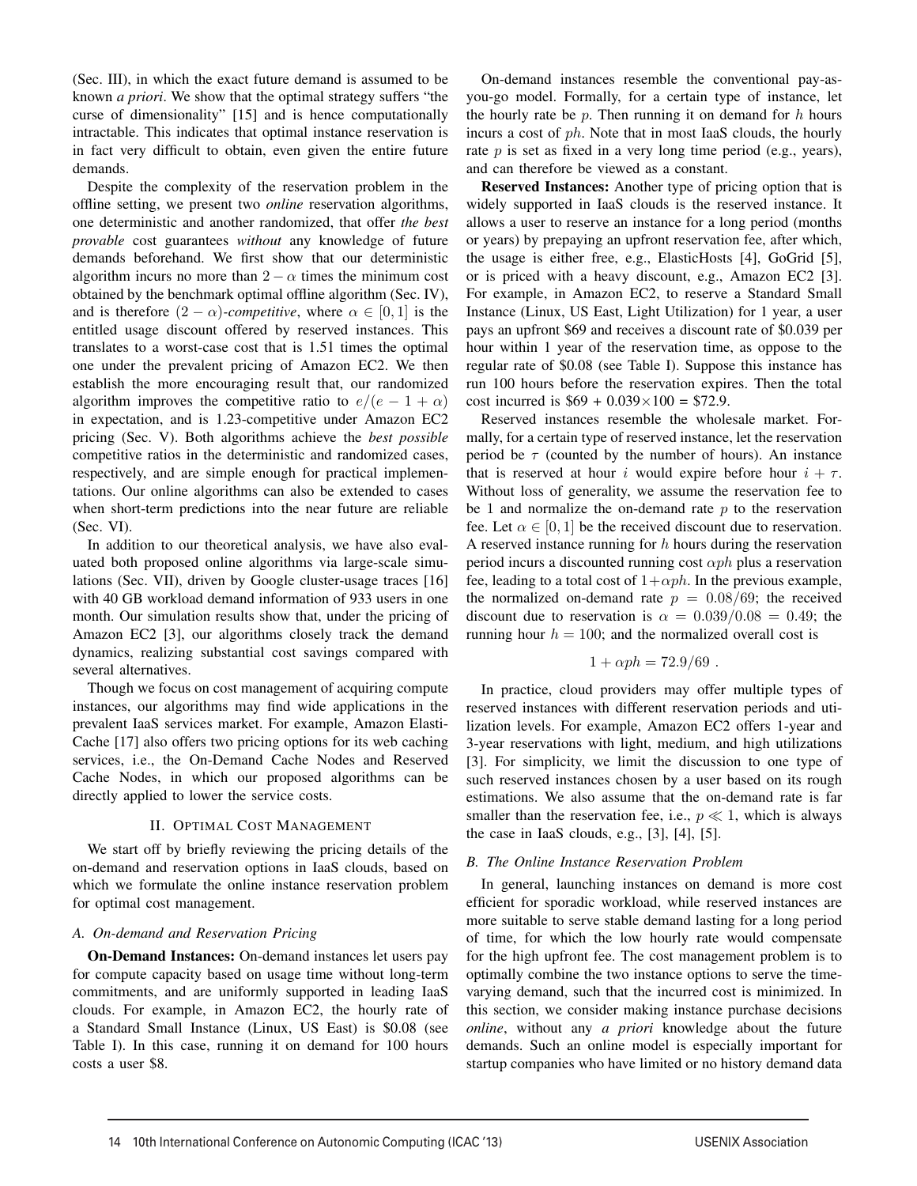(Sec. III), in which the exact future demand is assumed to be known *a priori*. We show that the optimal strategy suffers "the curse of dimensionality" [15] and is hence computationally intractable. This indicates that optimal instance reservation is in fact very difficult to obtain, even given the entire future demands.

Despite the complexity of the reservation problem in the offline setting, we present two *online* reservation algorithms, one deterministic and another randomized, that offer *the best provable* cost guarantees *without* any knowledge of future demands beforehand. We first show that our deterministic algorithm incurs no more than  $2 - \alpha$  times the minimum cost obtained by the benchmark optimal offline algorithm (Sec. IV), and is therefore  $(2 - \alpha)$ *-competitive*, where  $\alpha \in [0, 1]$  is the entitled usage discount offered by reserved instances. This translates to a worst-case cost that is 1.51 times the optimal one under the prevalent pricing of Amazon EC2. We then establish the more encouraging result that, our randomized algorithm improves the competitive ratio to  $e/(e-1+\alpha)$ in expectation, and is 1.23-competitive under Amazon EC2 pricing (Sec. V). Both algorithms achieve the *best possible* competitive ratios in the deterministic and randomized cases, respectively, and are simple enough for practical implementations. Our online algorithms can also be extended to cases when short-term predictions into the near future are reliable (Sec. VI).

In addition to our theoretical analysis, we have also evaluated both proposed online algorithms via large-scale simulations (Sec. VII), driven by Google cluster-usage traces [16] with 40 GB workload demand information of 933 users in one month. Our simulation results show that, under the pricing of Amazon EC2 [3], our algorithms closely track the demand dynamics, realizing substantial cost savings compared with several alternatives.

Though we focus on cost management of acquiring compute instances, our algorithms may find wide applications in the prevalent IaaS services market. For example, Amazon Elasti-Cache [17] also offers two pricing options for its web caching services, i.e., the On-Demand Cache Nodes and Reserved Cache Nodes, in which our proposed algorithms can be directly applied to lower the service costs.

# II. OPTIMAL COST MANAGEMENT

We start off by briefly reviewing the pricing details of the on-demand and reservation options in IaaS clouds, based on which we formulate the online instance reservation problem for optimal cost management.

# *A. On-demand and Reservation Pricing*

On-Demand Instances: On-demand instances let users pay for compute capacity based on usage time without long-term commitments, and are uniformly supported in leading IaaS clouds. For example, in Amazon EC2, the hourly rate of a Standard Small Instance (Linux, US East) is \$0.08 (see Table I). In this case, running it on demand for 100 hours costs a user \$8.

On-demand instances resemble the conventional pay-asyou-go model. Formally, for a certain type of instance, let the hourly rate be *p*. Then running it on demand for *h* hours incurs a cost of *ph*. Note that in most IaaS clouds, the hourly rate *p* is set as fixed in a very long time period (e.g., years), and can therefore be viewed as a constant.

Reserved Instances: Another type of pricing option that is widely supported in IaaS clouds is the reserved instance. It allows a user to reserve an instance for a long period (months or years) by prepaying an upfront reservation fee, after which, the usage is either free, e.g., ElasticHosts [4], GoGrid [5], or is priced with a heavy discount, e.g., Amazon EC2 [3]. For example, in Amazon EC2, to reserve a Standard Small Instance (Linux, US East, Light Utilization) for 1 year, a user pays an upfront \$69 and receives a discount rate of \$0.039 per hour within 1 year of the reservation time, as oppose to the regular rate of \$0.08 (see Table I). Suppose this instance has run 100 hours before the reservation expires. Then the total cost incurred is  $$69 + 0.039 \times 100 = $72.9$ .

Reserved instances resemble the wholesale market. Formally, for a certain type of reserved instance, let the reservation period be  $\tau$  (counted by the number of hours). An instance that is reserved at hour *i* would expire before hour  $i + \tau$ . Without loss of generality, we assume the reservation fee to be 1 and normalize the on-demand rate *p* to the reservation fee. Let  $\alpha \in [0, 1]$  be the received discount due to reservation. A reserved instance running for *h* hours during the reservation period incurs a discounted running cost  $\alpha ph$  plus a reservation fee, leading to a total cost of  $1+\alpha ph$ . In the previous example, the normalized on-demand rate  $p = 0.08/69$ ; the received discount due to reservation is  $\alpha = 0.039/0.08 = 0.49$ ; the running hour  $h = 100$ ; and the normalized overall cost is

$$
1 + \alpha ph = 72.9/69.
$$

In practice, cloud providers may offer multiple types of reserved instances with different reservation periods and utilization levels. For example, Amazon EC2 offers 1-year and 3-year reservations with light, medium, and high utilizations [3]. For simplicity, we limit the discussion to one type of such reserved instances chosen by a user based on its rough estimations. We also assume that the on-demand rate is far smaller than the reservation fee, i.e.,  $p \ll 1$ , which is always the case in IaaS clouds, e.g.,  $[3]$ ,  $[4]$ ,  $[5]$ .

# *B. The Online Instance Reservation Problem*

In general, launching instances on demand is more cost efficient for sporadic workload, while reserved instances are more suitable to serve stable demand lasting for a long period of time, for which the low hourly rate would compensate for the high upfront fee. The cost management problem is to optimally combine the two instance options to serve the timevarying demand, such that the incurred cost is minimized. In this section, we consider making instance purchase decisions *online*, without any *a priori* knowledge about the future demands. Such an online model is especially important for startup companies who have limited or no history demand data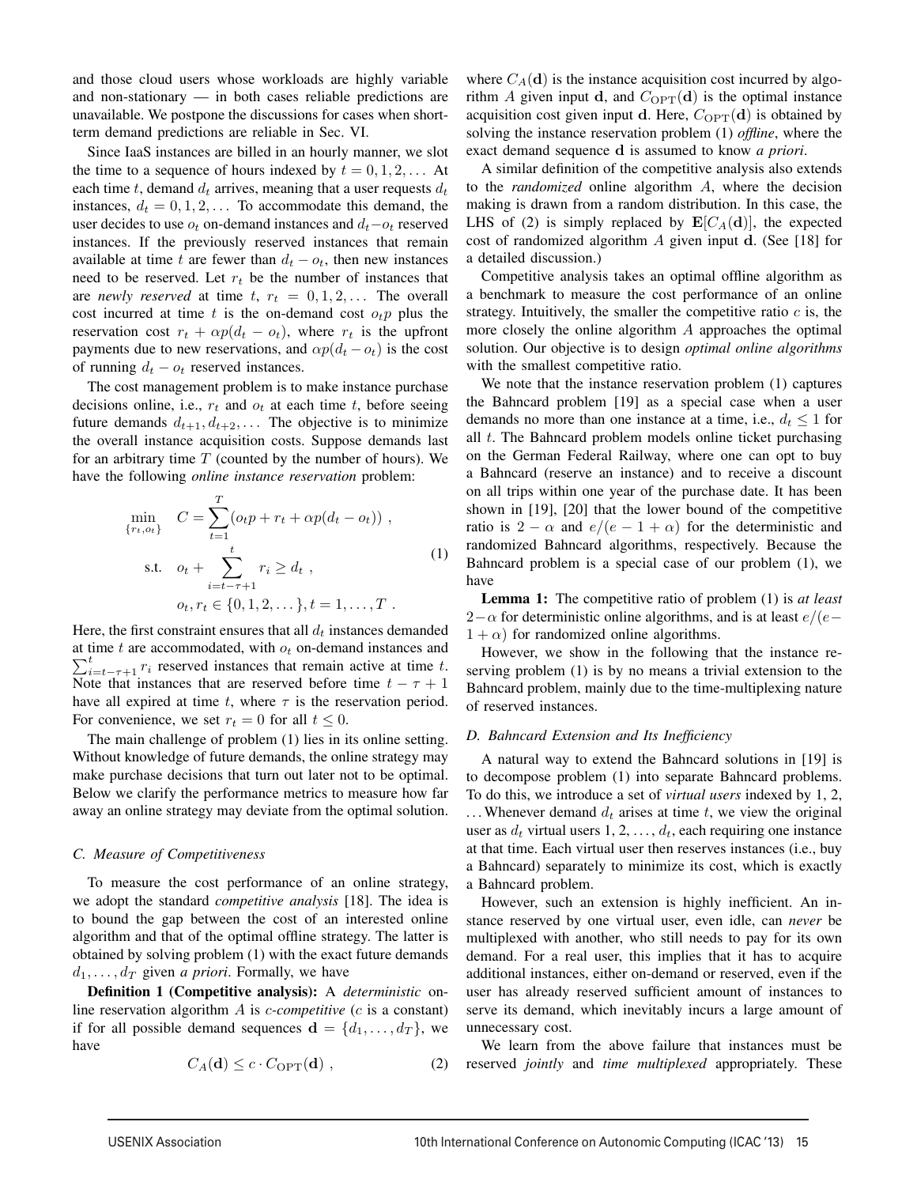and those cloud users whose workloads are highly variable and non-stationary — in both cases reliable predictions are unavailable. We postpone the discussions for cases when shortterm demand predictions are reliable in Sec. VI.

Since IaaS instances are billed in an hourly manner, we slot the time to a sequence of hours indexed by  $t = 0, 1, 2, \ldots$  At each time *t*, demand  $d_t$  arrives, meaning that a user requests  $d_t$ instances,  $d_t = 0, 1, 2, \ldots$  To accommodate this demand, the user decides to use  $o_t$  on-demand instances and  $d_t - o_t$  reserved instances. If the previously reserved instances that remain available at time *t* are fewer than  $d_t - o_t$ , then new instances need to be reserved. Let *r<sup>t</sup>* be the number of instances that are *newly reserved* at time  $t, r_t = 0, 1, 2, \ldots$  The overall cost incurred at time  $t$  is the on-demand cost  $o_t p$  plus the reservation cost  $r_t + \alpha p(d_t - o_t)$ , where  $r_t$  is the upfront payments due to new reservations, and  $\alpha p(d_t - o_t)$  is the cost of running  $d_t - o_t$  reserved instances.

The cost management problem is to make instance purchase decisions online, i.e.,  $r_t$  and  $o_t$  at each time  $t$ , before seeing future demands  $d_{t+1}, d_{t+2}, \ldots$  The objective is to minimize the overall instance acquisition costs. Suppose demands last for an arbitrary time *T* (counted by the number of hours). We have the following *online instance reservation* problem:

$$
\min_{\{r_t, o_t\}} C = \sum_{t=1}^T (o_t p + r_t + \alpha p(d_t - o_t)),
$$
\n
$$
\text{s.t.} \quad o_t + \sum_{i=t-\tau+1}^t r_i \ge d_t,
$$
\n
$$
o_t, r_t \in \{0, 1, 2, \dots\}, t = 1, \dots, T.
$$
\n
$$
(1)
$$

Here, the first constraint ensures that all  $d_t$  instances demanded  $\sum_{i=t-\tau+1}^{t} r_i$  reserved instances that remain active at time *t*. at time *<sup>t</sup>* are accommodated, with *<sup>o</sup><sup>t</sup>* on-demand instances and *<sup>t</sup>* Note that instances that are reserved before time  $t - \tau + 1$ have all expired at time  $t$ , where  $\tau$  is the reservation period. For convenience, we set  $r_t = 0$  for all  $t \leq 0$ .

The main challenge of problem (1) lies in its online setting. Without knowledge of future demands, the online strategy may make purchase decisions that turn out later not to be optimal. Below we clarify the performance metrics to measure how far away an online strategy may deviate from the optimal solution.

## *C. Measure of Competitiveness*

To measure the cost performance of an online strategy, we adopt the standard *competitive analysis* [18]. The idea is to bound the gap between the cost of an interested online algorithm and that of the optimal offline strategy. The latter is obtained by solving problem (1) with the exact future demands  $d_1, \ldots, d_T$  given *a priori*. Formally, we have

Definition 1 (Competitive analysis): A *deterministic* online reservation algorithm *A* is *c-competitive* (*c* is a constant) if for all possible demand sequences  $\mathbf{d} = \{d_1, \ldots, d_T\}$ , we have

$$
C_A(\mathbf{d}) \le c \cdot C_{\text{OPT}}(\mathbf{d}) \tag{2}
$$

where  $C_A(\mathbf{d})$  is the instance acquisition cost incurred by algorithm *A* given input **d**, and  $C_{\text{OPT}}(\mathbf{d})$  is the optimal instance acquisition cost given input d. Here,  $C_{\text{OPT}}(\mathbf{d})$  is obtained by solving the instance reservation problem (1) *offline*, where the exact demand sequence d is assumed to know *a priori*.

A similar definition of the competitive analysis also extends to the *randomized* online algorithm *A*, where the decision making is drawn from a random distribution. In this case, the LHS of (2) is simply replaced by  $\mathbf{E}[C_A(\mathbf{d})]$ , the expected cost of randomized algorithm *A* given input d. (See [18] for a detailed discussion.)

Competitive analysis takes an optimal offline algorithm as a benchmark to measure the cost performance of an online strategy. Intuitively, the smaller the competitive ratio  $c$  is, the more closely the online algorithm *A* approaches the optimal solution. Our objective is to design *optimal online algorithms* with the smallest competitive ratio.

We note that the instance reservation problem (1) captures the Bahncard problem [19] as a special case when a user demands no more than one instance at a time, i.e.,  $d_t \leq 1$  for all *t*. The Bahncard problem models online ticket purchasing on the German Federal Railway, where one can opt to buy a Bahncard (reserve an instance) and to receive a discount on all trips within one year of the purchase date. It has been shown in [19], [20] that the lower bound of the competitive ratio is  $2 - \alpha$  and  $e/(e - 1 + \alpha)$  for the deterministic and randomized Bahncard algorithms, respectively. Because the Bahncard problem is a special case of our problem (1), we have

Lemma 1: The competitive ratio of problem (1) is *at least* 2*−↵* for deterministic online algorithms, and is at least *e/*(*e−*  $1 + \alpha$ ) for randomized online algorithms.

However, we show in the following that the instance reserving problem (1) is by no means a trivial extension to the Bahncard problem, mainly due to the time-multiplexing nature of reserved instances.

# *D. Bahncard Extension and Its Inefficiency*

A natural way to extend the Bahncard solutions in [19] is to decompose problem (1) into separate Bahncard problems. To do this, we introduce a set of *virtual users* indexed by 1, 2, ... Whenever demand  $d_t$  arises at time  $t$ , we view the original user as  $d_t$  virtual users  $1, 2, \ldots, d_t$ , each requiring one instance at that time. Each virtual user then reserves instances (i.e., buy a Bahncard) separately to minimize its cost, which is exactly a Bahncard problem.

However, such an extension is highly inefficient. An instance reserved by one virtual user, even idle, can *never* be multiplexed with another, who still needs to pay for its own demand. For a real user, this implies that it has to acquire additional instances, either on-demand or reserved, even if the user has already reserved sufficient amount of instances to serve its demand, which inevitably incurs a large amount of unnecessary cost.

We learn from the above failure that instances must be reserved *jointly* and *time multiplexed* appropriately. These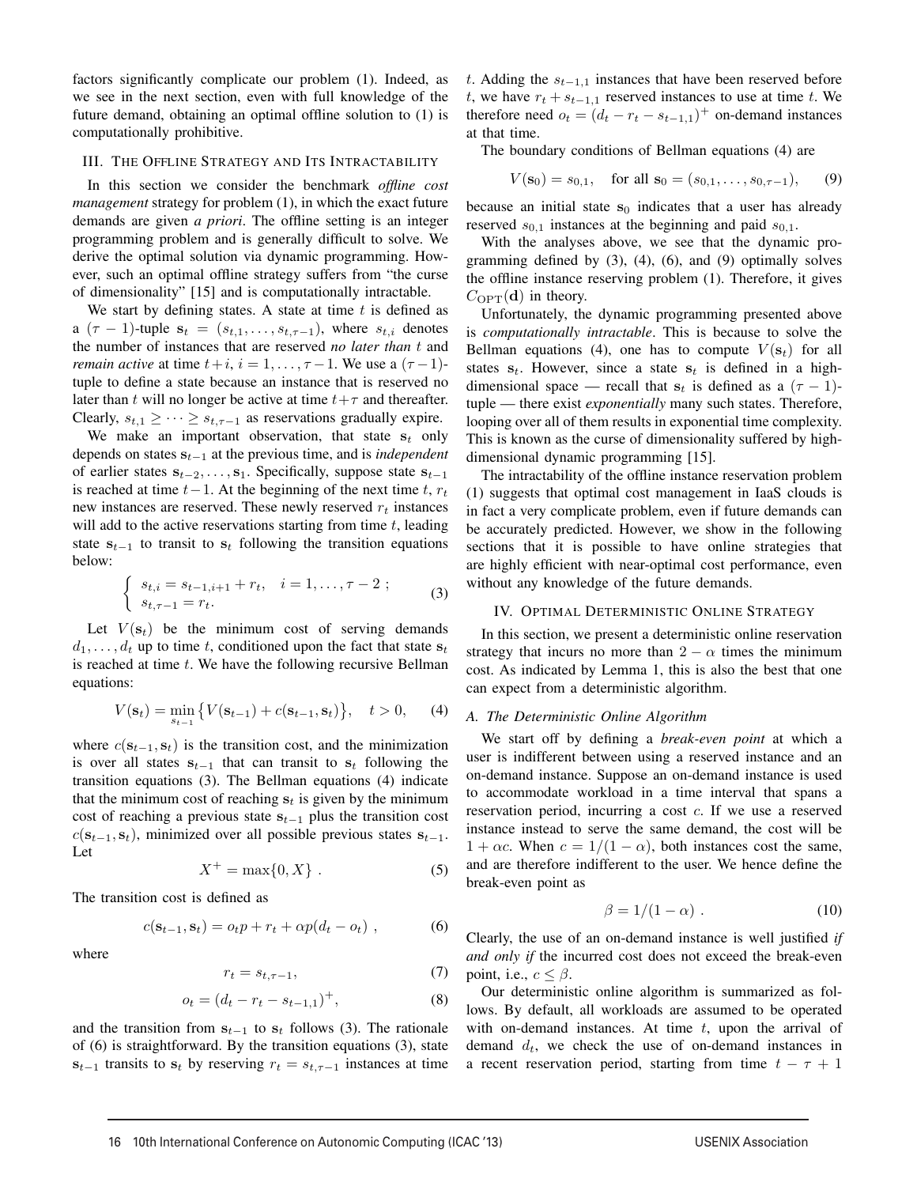factors significantly complicate our problem (1). Indeed, as we see in the next section, even with full knowledge of the future demand, obtaining an optimal offline solution to (1) is computationally prohibitive.

#### III. THE OFFLINE STRATEGY AND ITS INTRACTABILITY

In this section we consider the benchmark *offline cost management* strategy for problem (1), in which the exact future demands are given *a priori*. The offline setting is an integer programming problem and is generally difficult to solve. We derive the optimal solution via dynamic programming. However, such an optimal offline strategy suffers from "the curse of dimensionality" [15] and is computationally intractable.

We start by defining states. A state at time *t* is defined as a  $(\tau - 1)$ -tuple  $\mathbf{s}_t = (s_{t,1}, \ldots, s_{t,\tau-1})$ , where  $s_{t,i}$  denotes the number of instances that are reserved *no later than t* and *remain active* at time  $t + i$ ,  $i = 1, \ldots, \tau - 1$ . We use a  $(\tau - 1)$ tuple to define a state because an instance that is reserved no later than *t* will no longer be active at time  $t + \tau$  and thereafter. Clearly,  $s_{t,1} \geq \cdots \geq s_{t,\tau-1}$  as reservations gradually expire.

We make an important observation, that state  $s_t$  only depends on states s*<sup>t</sup>−*<sup>1</sup> at the previous time, and is *independent* of earlier states s*<sup>t</sup>−*<sup>2</sup>*,...,* s1. Specifically, suppose state s*<sup>t</sup>−*<sup>1</sup> is reached at time  $t-1$ . At the beginning of the next time  $t$ ,  $r_t$ new instances are reserved. These newly reserved *r<sup>t</sup>* instances will add to the active reservations starting from time *t*, leading state  $s_{t-1}$  to transit to  $s_t$  following the transition equations below:

$$
\begin{cases}\n s_{t,i} = s_{t-1,i+1} + r_t, & i = 1, \dots, \tau - 2 ; \\
s_{t,\tau-1} = r_t.\n\end{cases}
$$
\n(3)

Let  $V(\mathbf{s}_t)$  be the minimum cost of serving demands  $d_1, \ldots, d_t$  up to time *t*, conditioned upon the fact that state  $s_t$ is reached at time *t*. We have the following recursive Bellman equations:

$$
V(\mathbf{s}_t) = \min_{s_{t-1}} \{ V(\mathbf{s}_{t-1}) + c(\mathbf{s}_{t-1}, \mathbf{s}_t) \}, \quad t > 0,
$$
 (4)

where  $c(s_{t-1}, s_t)$  is the transition cost, and the minimization is over all states  $s_{t-1}$  that can transit to  $s_t$  following the transition equations (3). The Bellman equations (4) indicate that the minimum cost of reaching  $s_t$  is given by the minimum cost of reaching a previous state s*<sup>t</sup>−*<sup>1</sup> plus the transition cost  $c(\mathbf{s}_{t-1}, \mathbf{s}_t)$ , minimized over all possible previous states  $\mathbf{s}_{t-1}$ . Let

$$
X^{+} = \max\{0, X\} .
$$
 (5)

The transition cost is defined as

$$
c(\mathbf{s}_{t-1}, \mathbf{s}_t) = o_t p + r_t + \alpha p(d_t - o_t) , \qquad (6)
$$

where

$$
r_t = s_{t, \tau - 1},\tag{7}
$$

$$
o_t = (d_t - r_t - s_{t-1,1})^+, \tag{8}
$$

and the transition from  $s_{t-1}$  to  $s_t$  follows (3). The rationale of (6) is straightforward. By the transition equations (3), state  $s_{t-1}$  transits to  $s_t$  by reserving  $r_t = s_{t, \tau-1}$  instances at time *t*. Adding the *st−*1*,*<sup>1</sup> instances that have been reserved before *t*, we have  $r_t + s_{t-1,1}$  reserved instances to use at time *t*. We therefore need  $o_t = (d_t - r_t - s_{t-1,1})^+$  on-demand instances at that time.

The boundary conditions of Bellman equations (4) are

$$
V(\mathbf{s}_0) = s_{0,1}
$$
, for all  $\mathbf{s}_0 = (s_{0,1}, \ldots, s_{0,\tau-1})$ , (9)

because an initial state  $s_0$  indicates that a user has already reserved  $s_{0,1}$  instances at the beginning and paid  $s_{0,1}$ .

With the analyses above, we see that the dynamic programming defined by  $(3)$ ,  $(4)$ ,  $(6)$ , and  $(9)$  optimally solves the offline instance reserving problem (1). Therefore, it gives  $C_{\text{OPT}}(\mathbf{d})$  in theory.

Unfortunately, the dynamic programming presented above is *computationally intractable*. This is because to solve the Bellman equations (4), one has to compute  $V(\mathbf{s}_t)$  for all states  $s_t$ . However, since a state  $s_t$  is defined in a highdimensional space — recall that  $s_t$  is defined as a  $(τ - 1)$ tuple — there exist *exponentially* many such states. Therefore, looping over all of them results in exponential time complexity. This is known as the curse of dimensionality suffered by highdimensional dynamic programming [15].

The intractability of the offline instance reservation problem (1) suggests that optimal cost management in IaaS clouds is in fact a very complicate problem, even if future demands can be accurately predicted. However, we show in the following sections that it is possible to have online strategies that are highly efficient with near-optimal cost performance, even without any knowledge of the future demands.

#### IV. OPTIMAL DETERMINISTIC ONLINE STRATEGY

In this section, we present a deterministic online reservation strategy that incurs no more than  $2 - \alpha$  times the minimum cost. As indicated by Lemma 1, this is also the best that one can expect from a deterministic algorithm.

# *A. The Deterministic Online Algorithm*

We start off by defining a *break-even point* at which a user is indifferent between using a reserved instance and an on-demand instance. Suppose an on-demand instance is used to accommodate workload in a time interval that spans a reservation period, incurring a cost *c*. If we use a reserved instance instead to serve the same demand, the cost will be  $1 + \alpha c$ . When  $c = 1/(1 - \alpha)$ , both instances cost the same, and are therefore indifferent to the user. We hence define the break-even point as

$$
\beta = 1/(1 - \alpha) \tag{10}
$$

Clearly, the use of an on-demand instance is well justified *if and only if* the incurred cost does not exceed the break-even point, i.e.,  $c \leq \beta$ .

Our deterministic online algorithm is summarized as follows. By default, all workloads are assumed to be operated with on-demand instances. At time *t*, upon the arrival of demand *dt*, we check the use of on-demand instances in a recent reservation period, starting from time  $t - \tau + 1$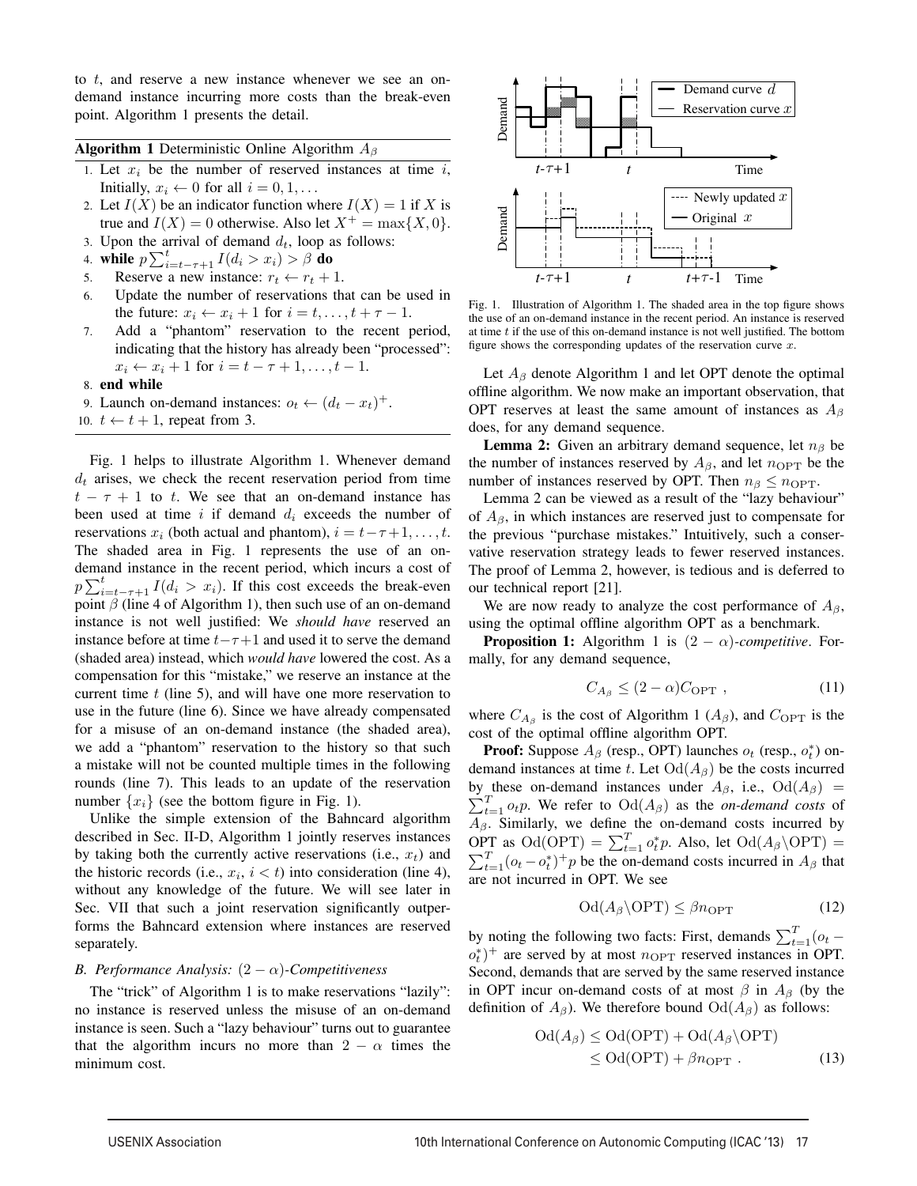to *t*, and reserve a new instance whenever we see an ondemand instance incurring more costs than the break-even point. Algorithm 1 presents the detail.

Algorithm 1 Deterministic Online Algorithm *A<sup>β</sup>*

- 1. Let *x<sup>i</sup>* be the number of reserved instances at time *i*, Initially,  $x_i \leftarrow 0$  for all  $i = 0, 1, \ldots$
- 2. Let  $I(X)$  be an indicator function where  $I(X) = 1$  if X is true and  $I(X) = 0$  otherwise. Also let  $X^+ = \max\{X, 0\}$ .
- 3. Upon the arrival of demand  $d_t$ , loop as follows:
- 4. while  $p \sum_{i=t-\tau+1}^{t} I(d_i > x_i) > \beta$  do
- 5. Reserve a new instance:  $r_t \leftarrow r_t + 1$ .<br>6. Update the number of reservations the
- Update the number of reservations that can be used in the future:  $x_i \leftarrow x_i + 1$  for  $i = t, \ldots, t + \tau - 1$ .
- 7. Add a "phantom" reservation to the recent period, indicating that the history has already been "processed":  $x_i \leftarrow x_i + 1$  for  $i = t - \tau + 1, \ldots, t - 1$ .
- 8. end while
- 9. Launch on-demand instances:  $o_t \leftarrow (d_t x_t)^+$ .
- 10.  $t \leftarrow t + 1$ , repeat from 3.

Fig. 1 helps to illustrate Algorithm 1. Whenever demand  $d_t$  arises, we check the recent reservation period from time  $t - \tau + 1$  to *t*. We see that an on-demand instance has been used at time *i* if demand *d<sup>i</sup>* exceeds the number of reservations  $x_i$  (both actual and phantom),  $i = t - \tau + 1, \ldots, t$ . The shaded area in Fig. 1 represents the use of an ondemand instance in the recent period, which incurs a cost of  $p \sum_{i=t-\tau+1}^{t} I(d_i > x_i)$ . If this cost exceeds the break-even point  $\beta$  (line 4 of Algorithm 1), then such use of an on-demand instance is not well justified: We *should have* reserved an instance before at time  $t - \tau + 1$  and used it to serve the demand (shaded area) instead, which *would have* lowered the cost. As a compensation for this "mistake," we reserve an instance at the current time *t* (line 5), and will have one more reservation to use in the future (line 6). Since we have already compensated for a misuse of an on-demand instance (the shaded area), we add a "phantom" reservation to the history so that such a mistake will not be counted multiple times in the following rounds (line 7). This leads to an update of the reservation number  $\{x_i\}$  (see the bottom figure in Fig. 1).

Unlike the simple extension of the Bahncard algorithm described in Sec. II-D, Algorithm 1 jointly reserves instances by taking both the currently active reservations (i.e., *xt*) and the historic records (i.e.,  $x_i$ ,  $i < t$ ) into consideration (line 4), without any knowledge of the future. We will see later in Sec. VII that such a joint reservation significantly outperforms the Bahncard extension where instances are reserved separately.

# *B. Performance Analysis:*  $(2 - \alpha)$ *-Competitiveness*

The "trick" of Algorithm 1 is to make reservations "lazily": no instance is reserved unless the misuse of an on-demand instance is seen. Such a "lazy behaviour" turns out to guarantee that the algorithm incurs no more than  $2 - \alpha$  times the minimum cost.



Fig. 1. Illustration of Algorithm 1. The shaded area in the top figure shows the use of an on-demand instance in the recent period. An instance is reserved at time *t* if the use of this on-demand instance is not well justified. The bottom figure shows the corresponding updates of the reservation curve *x*.

Let  $A_\beta$  denote Algorithm 1 and let OPT denote the optimal offline algorithm. We now make an important observation, that OPT reserves at least the same amount of instances as *A<sup>β</sup>* does, for any demand sequence.

Lemma 2: Given an arbitrary demand sequence, let *n<sup>β</sup>* be the number of instances reserved by  $A_\beta$ , and let  $n_{\text{OPT}}$  be the number of instances reserved by OPT. Then  $n<sub>\beta</sub> \le n<sub>OPT</sub>$ .

Lemma 2 can be viewed as a result of the "lazy behaviour" of *Aβ*, in which instances are reserved just to compensate for the previous "purchase mistakes." Intuitively, such a conservative reservation strategy leads to fewer reserved instances. The proof of Lemma 2, however, is tedious and is deferred to our technical report [21].

We are now ready to analyze the cost performance of *Aβ*, using the optimal offline algorithm OPT as a benchmark.

**Proposition 1:** Algorithm 1 is  $(2 - \alpha)$ *-competitive*. Formally, for any demand sequence,

$$
C_{A_{\beta}} \le (2 - \alpha) C_{\text{OPT}} , \qquad (11)
$$

where  $C_{A_\beta}$  is the cost of Algorithm 1 ( $A_\beta$ ), and  $C_{\text{OPT}}$  is the cost of the optimal offline algorithm OPT.

Proof: Suppose *A<sup>β</sup>* (resp., OPT) launches *o<sup>t</sup>* (resp., *o⇤ <sup>t</sup>* ) ondemand instances at time *t*. Let  $\text{Od}(A_{\beta})$  be the costs incurred by these on-demand instances under  $A_{\beta}$ , i.e.,  $\text{Od}(A_{\beta})$  =  $\sum_{t=1}^{T} o_t p$ . We refer to  $\text{Od}(A_\beta)$  as the *on-demand costs* of  $A_{\beta}$ . Similarly, we define the on-demand costs incurred by  $\mathcal{O}PT$  as  $\mathrm{Od}(\mathrm{OPT}) = \sum_{t=1}^{T} o_t^* p$ . Also, let  $\mathrm{Od}(A_\beta \backslash \mathrm{OPT}) =$  $\sum_{t=1}^{T} (o_t - o_t^*)^+ p$  be the on-demand costs incurred in  $A_\beta$  that are not incurred in OPT. We see

$$
\text{Od}(A_{\beta}\backslash \text{OPT}) \leq \beta n_{\text{OPT}} \tag{12}
$$

by noting the following two facts: First, demands  $\sum_{t=1}^{T} (o_t$  $o_t^*$ <sup>+</sup> are served by at most  $n_{\text{OPT}}$  reserved instances in OPT. Second, demands that are served by the same reserved instance in OPT incur on-demand costs of at most  $\beta$  in  $A_\beta$  (by the definition of  $A_\beta$ ). We therefore bound  $\text{Od}(A_\beta)$  as follows:

$$
Od(A_{\beta}) \leq Od(OPT) + Od(A_{\beta} \backslash OPT)
$$
  
\n
$$
\leq Od(OPT) + \beta n_{OPT} . \tag{13}
$$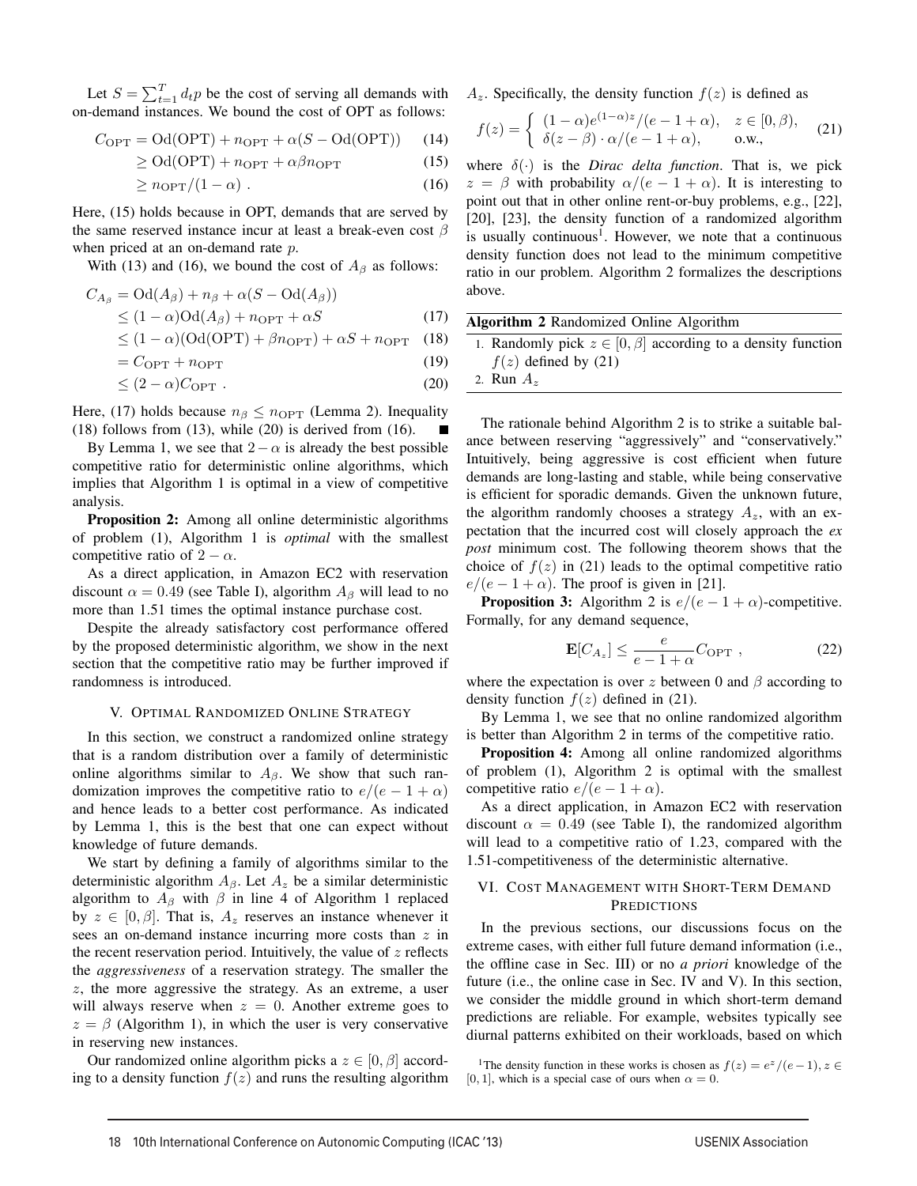Let  $S = \sum_{t=1}^{T} d_t p$  be the cost of serving all demands with on-demand instances. We bound the cost of OPT as follows:

$$
C_{\text{OPT}} = \text{Od}(\text{OPT}) + n_{\text{OPT}} + \alpha(S - \text{Od}(\text{OPT})) \tag{14}
$$

$$
\geq \text{Od}(\text{OPT}) + n_{\text{OPT}} + \alpha \beta n_{\text{OPT}} \tag{15}
$$

$$
\geq n_{\rm OPT}/(1 - \alpha) \tag{16}
$$

Here, (15) holds because in OPT, demands that are served by the same reserved instance incur at least a break-even cost *β* when priced at an on-demand rate *p*.

With (13) and (16), we bound the cost of  $A_\beta$  as follows:

$$
C_{A_{\beta}} = \text{Od}(A_{\beta}) + n_{\beta} + \alpha(S - \text{Od}(A_{\beta}))
$$
  
\n
$$
\leq (1 - \alpha)\text{Od}(A_{\beta}) + n_{\text{OPT}} + \alpha S
$$
 (17)

$$
\leq (1 - \alpha)(\text{Od}(\text{OPT}) + \beta n_{\text{OPT}}) + \alpha S + n_{\text{OPT}} \quad (18)
$$

$$
= C_{\text{OPT}} + n_{\text{OPT}} \tag{19}
$$

$$
\leq (2 - \alpha) C_{\text{OPT}} . \tag{20}
$$

Here, (17) holds because  $n_\beta \leq n_{\text{OPT}}$  (Lemma 2). Inequality  $(18)$  follows from  $(13)$ , while  $(20)$  is derived from  $(16)$ .

By Lemma 1, we see that  $2 − \alpha$  is already the best possible competitive ratio for deterministic online algorithms, which implies that Algorithm 1 is optimal in a view of competitive analysis.

Proposition 2: Among all online deterministic algorithms of problem (1), Algorithm 1 is *optimal* with the smallest competitive ratio of  $2 - \alpha$ .

As a direct application, in Amazon EC2 with reservation discount  $\alpha = 0.49$  (see Table I), algorithm  $A_\beta$  will lead to no more than 1.51 times the optimal instance purchase cost.

Despite the already satisfactory cost performance offered by the proposed deterministic algorithm, we show in the next section that the competitive ratio may be further improved if randomness is introduced.

# V. OPTIMAL RANDOMIZED ONLINE STRATEGY

In this section, we construct a randomized online strategy that is a random distribution over a family of deterministic online algorithms similar to *Aβ*. We show that such randomization improves the competitive ratio to  $e/(e-1+\alpha)$ and hence leads to a better cost performance. As indicated by Lemma 1, this is the best that one can expect without knowledge of future demands.

We start by defining a family of algorithms similar to the deterministic algorithm  $A_\beta$ . Let  $A_z$  be a similar deterministic algorithm to  $A_\beta$  with  $\beta$  in line 4 of Algorithm 1 replaced by  $z \in [0, \beta]$ . That is,  $A_z$  reserves an instance whenever it sees an on-demand instance incurring more costs than *z* in the recent reservation period. Intuitively, the value of *z* reflects the *aggressiveness* of a reservation strategy. The smaller the *z*, the more aggressive the strategy. As an extreme, a user will always reserve when  $z = 0$ . Another extreme goes to  $z = \beta$  (Algorithm 1), in which the user is very conservative in reserving new instances.

Our randomized online algorithm picks a  $z \in [0, \beta]$  according to a density function  $f(z)$  and runs the resulting algorithm  $A_z$ . Specifically, the density function  $f(z)$  is defined as

$$
f(z) = \begin{cases} (1 - \alpha)e^{(1 - \alpha)z}/(e - 1 + \alpha), & z \in [0, \beta), \\ \delta(z - \beta) \cdot \alpha/(e - 1 + \alpha), & \text{o.w.,} \end{cases}
$$
 (21)

where  $\delta(\cdot)$  is the *Dirac delta function*. That is, we pick  $z = \beta$  with probability  $\alpha/(e - 1 + \alpha)$ . It is interesting to point out that in other online rent-or-buy problems, e.g., [22], [20], [23], the density function of a randomized algorithm is usually continuous<sup>1</sup>. However, we note that a continuous density function does not lead to the minimum competitive ratio in our problem. Algorithm 2 formalizes the descriptions above.

| Algorithm 2 Randomized Online Algorithm |  |  |
|-----------------------------------------|--|--|
|-----------------------------------------|--|--|

1. Randomly pick  $z \in [0, \beta]$  according to a density function  $f(z)$  defined by (21)

2. Run *A<sup>z</sup>*

The rationale behind Algorithm 2 is to strike a suitable balance between reserving "aggressively" and "conservatively." Intuitively, being aggressive is cost efficient when future demands are long-lasting and stable, while being conservative is efficient for sporadic demands. Given the unknown future, the algorithm randomly chooses a strategy  $A_z$ , with an expectation that the incurred cost will closely approach the *ex post* minimum cost. The following theorem shows that the choice of  $f(z)$  in (21) leads to the optimal competitive ratio  $e/(e-1+\alpha)$ . The proof is given in [21].

**Proposition 3:** Algorithm 2 is  $e/(e-1+\alpha)$ -competitive. Formally, for any demand sequence,

$$
\mathbf{E}[C_{A_z}] \le \frac{e}{e - 1 + \alpha} C_{\text{OPT}} \tag{22}
$$

where the expectation is over  $z$  between 0 and  $\beta$  according to density function  $f(z)$  defined in (21).

By Lemma 1, we see that no online randomized algorithm is better than Algorithm 2 in terms of the competitive ratio.

Proposition 4: Among all online randomized algorithms of problem (1), Algorithm 2 is optimal with the smallest competitive ratio  $e/(e-1+\alpha)$ .

As a direct application, in Amazon EC2 with reservation discount  $\alpha = 0.49$  (see Table I), the randomized algorithm will lead to a competitive ratio of 1.23, compared with the 1.51-competitiveness of the deterministic alternative.

# VI. COST MANAGEMENT WITH SHORT-TERM DEMAND **PREDICTIONS**

In the previous sections, our discussions focus on the extreme cases, with either full future demand information (i.e., the offline case in Sec. III) or no *a priori* knowledge of the future (i.e., the online case in Sec. IV and V). In this section, we consider the middle ground in which short-term demand predictions are reliable. For example, websites typically see diurnal patterns exhibited on their workloads, based on which

<sup>1</sup>The density function in these works is chosen as  $f(z) = e^{z}/(e-1)$ ,  $z \in$ [0, 1], which is a special case of ours when  $\alpha = 0$ .

6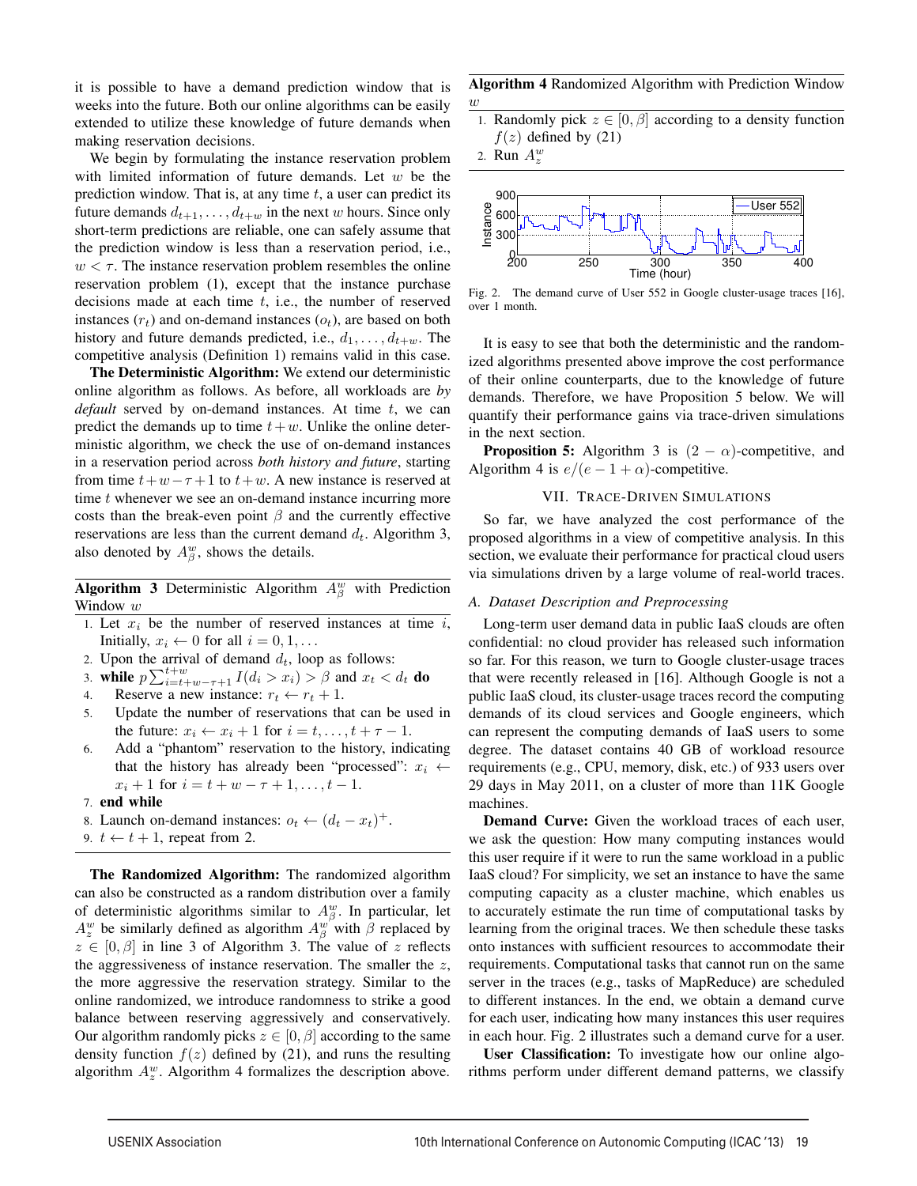it is possible to have a demand prediction window that is weeks into the future. Both our online algorithms can be easily extended to utilize these knowledge of future demands when making reservation decisions.

We begin by formulating the instance reservation problem with limited information of future demands. Let *w* be the prediction window. That is, at any time *t*, a user can predict its future demands  $d_{t+1}, \ldots, d_{t+w}$  in the next *w* hours. Since only short-term predictions are reliable, one can safely assume that the prediction window is less than a reservation period, i.e.,  $w < \tau$ . The instance reservation problem resembles the online reservation problem (1), except that the instance purchase decisions made at each time *t*, i.e., the number of reserved instances  $(r_t)$  and on-demand instances  $(o_t)$ , are based on both history and future demands predicted, i.e.,  $d_1, \ldots, d_{t+w}$ . The competitive analysis (Definition 1) remains valid in this case.

The Deterministic Algorithm: We extend our deterministic online algorithm as follows. As before, all workloads are *by default* served by on-demand instances. At time *t*, we can predict the demands up to time  $t + w$ . Unlike the online deterministic algorithm, we check the use of on-demand instances in a reservation period across *both history and future*, starting from time  $t+w-\tau+1$  to  $t+w$ . A new instance is reserved at time *t* whenever we see an on-demand instance incurring more costs than the break-even point  $\beta$  and the currently effective reservations are less than the current demand *dt*. Algorithm 3, also denoted by  $A_{\beta}^{w}$ , shows the details.

**Algorithm 3** Deterministic Algorithm  $A_{\beta}^{w}$  with Prediction Window *w*

- 1. Let  $x_i$  be the number of reserved instances at time  $i$ , Initially,  $x_i \leftarrow 0$  for all  $i = 0, 1, \ldots$
- 2. Upon the arrival of demand  $d_t$ , loop as follows:
- 3. while  $p \sum_{i=t+w-\tau+1}^{t+w} I(d_i > x_i) > \beta$  and  $x_t < d_t$  do
- 4. Reserve a new instance:  $r_t \leftarrow r_t + 1$ .<br>5. Update the number of reservations the
- Update the number of reservations that can be used in the future:  $x_i \leftarrow x_i + 1$  for  $i = t, \ldots, t + \tau - 1$ .
- 6. Add a "phantom" reservation to the history, indicating that the history has already been "processed":  $x_i \leftarrow$  $x_i + 1$  for  $i = t + w - \tau + 1, \ldots, t - 1$ .
- 7. end while
- 8. Launch on-demand instances:  $o_t$  ←  $(d_t − x_t)^+$ .
- 9.  $t \leftarrow t + 1$ , repeat from 2.

The Randomized Algorithm: The randomized algorithm can also be constructed as a random distribution over a family of deterministic algorithms similar to  $A_{\beta}^{w}$ . In particular, let  $A_z^w$  be similarly defined as algorithm  $A_\beta^w$  with  $\beta$  replaced by  $z \in [0, \beta]$  in line 3 of Algorithm 3. The value of *z* reflects the aggressiveness of instance reservation. The smaller the *z*, the more aggressive the reservation strategy. Similar to the online randomized, we introduce randomness to strike a good balance between reserving aggressively and conservatively. Our algorithm randomly picks  $z \in [0, \beta]$  according to the same density function  $f(z)$  defined by (21), and runs the resulting algorithm  $A_z^w$ . Algorithm 4 formalizes the description above.

Algorithm 4 Randomized Algorithm with Prediction Window *w*

- 1. Randomly pick  $z \in [0, \beta]$  according to a density function  $f(z)$  defined by (21)
- 2. Run  $A_z^w$



Fig. 2. The demand curve of User 552 in Google cluster-usage traces [16], over 1 month.

It is easy to see that both the deterministic and the randomized algorithms presented above improve the cost performance of their online counterparts, due to the knowledge of future demands. Therefore, we have Proposition 5 below. We will quantify their performance gains via trace-driven simulations in the next section.

**Proposition 5:** Algorithm 3 is  $(2 - \alpha)$ -competitive, and Algorithm 4 is  $e/(e-1+\alpha)$ -competitive.

# VII. TRACE-DRIVEN SIMULATIONS

So far, we have analyzed the cost performance of the proposed algorithms in a view of competitive analysis. In this section, we evaluate their performance for practical cloud users via simulations driven by a large volume of real-world traces.

## *A. Dataset Description and Preprocessing*

Long-term user demand data in public IaaS clouds are often confidential: no cloud provider has released such information so far. For this reason, we turn to Google cluster-usage traces that were recently released in [16]. Although Google is not a public IaaS cloud, its cluster-usage traces record the computing demands of its cloud services and Google engineers, which can represent the computing demands of IaaS users to some degree. The dataset contains 40 GB of workload resource requirements (e.g., CPU, memory, disk, etc.) of 933 users over 29 days in May 2011, on a cluster of more than 11K Google machines.

Demand Curve: Given the workload traces of each user, we ask the question: How many computing instances would this user require if it were to run the same workload in a public IaaS cloud? For simplicity, we set an instance to have the same computing capacity as a cluster machine, which enables us to accurately estimate the run time of computational tasks by learning from the original traces. We then schedule these tasks onto instances with sufficient resources to accommodate their requirements. Computational tasks that cannot run on the same server in the traces (e.g., tasks of MapReduce) are scheduled to different instances. In the end, we obtain a demand curve for each user, indicating how many instances this user requires in each hour. Fig. 2 illustrates such a demand curve for a user.

User Classification: To investigate how our online algorithms perform under different demand patterns, we classify

<u>.</u>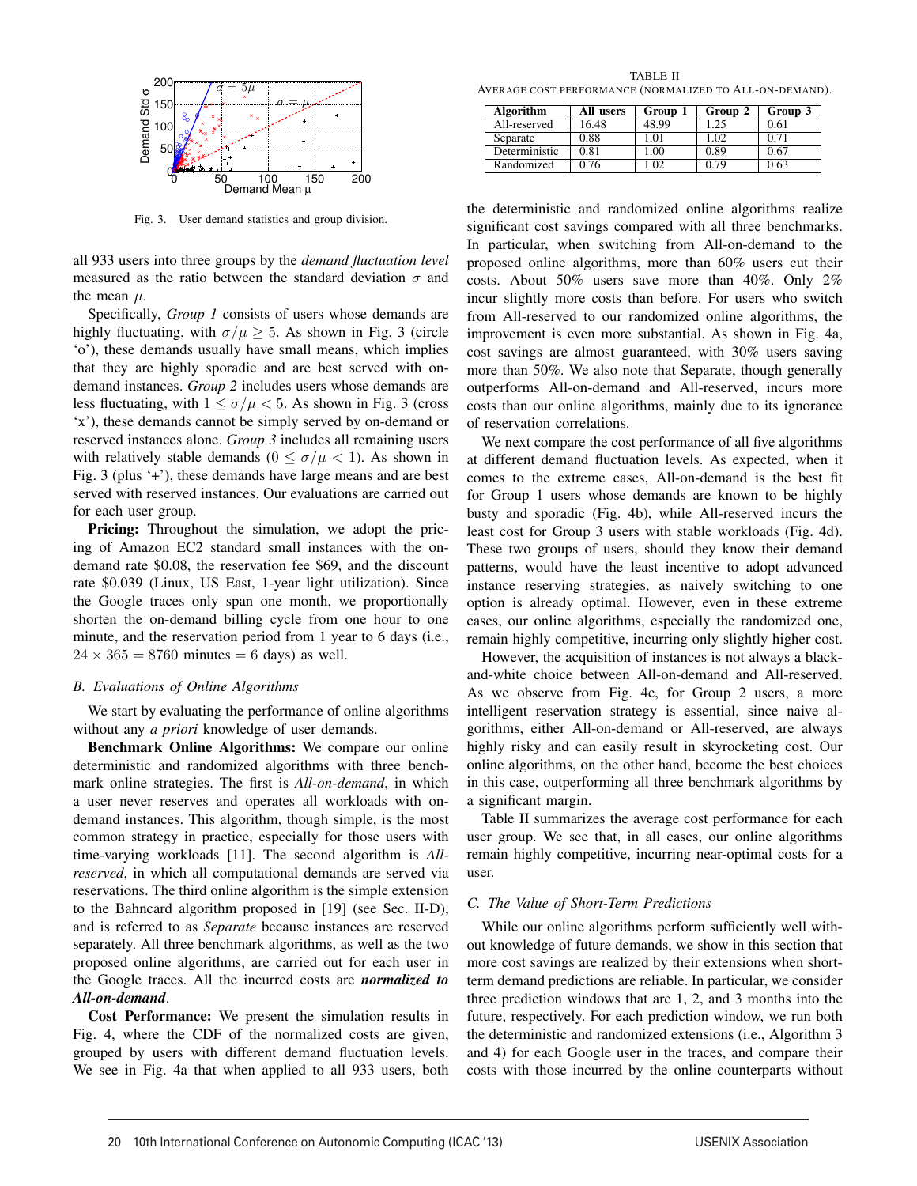

Fig. 3. User demand statistics and group division.

all 933 users into three groups by the *demand fluctuation level* measured as the ratio between the standard deviation  $\sigma$  and the mean *µ*.

Specifically, *Group 1* consists of users whose demands are highly fluctuating, with  $\sigma/\mu \geq 5$ . As shown in Fig. 3 (circle 'o'), these demands usually have small means, which implies that they are highly sporadic and are best served with ondemand instances. *Group 2* includes users whose demands are less fluctuating, with  $1 \le \sigma/\mu < 5$ . As shown in Fig. 3 (cross 'x'), these demands cannot be simply served by on-demand or reserved instances alone. *Group 3* includes all remaining users with relatively stable demands  $(0 \le \sigma/\mu < 1)$ . As shown in Fig. 3 (plus '+'), these demands have large means and are best served with reserved instances. Our evaluations are carried out for each user group.

Pricing: Throughout the simulation, we adopt the pricing of Amazon EC2 standard small instances with the ondemand rate \$0.08, the reservation fee \$69, and the discount rate \$0.039 (Linux, US East, 1-year light utilization). Since the Google traces only span one month, we proportionally shorten the on-demand billing cycle from one hour to one minute, and the reservation period from 1 year to 6 days (i.e.,  $24 \times 365 = 8760$  minutes  $= 6$  days) as well.

#### *B. Evaluations of Online Algorithms*

We start by evaluating the performance of online algorithms without any *a priori* knowledge of user demands.

Benchmark Online Algorithms: We compare our online deterministic and randomized algorithms with three benchmark online strategies. The first is *All-on-demand*, in which a user never reserves and operates all workloads with ondemand instances. This algorithm, though simple, is the most common strategy in practice, especially for those users with time-varying workloads [11]. The second algorithm is *Allreserved*, in which all computational demands are served via reservations. The third online algorithm is the simple extension to the Bahncard algorithm proposed in [19] (see Sec. II-D), and is referred to as *Separate* because instances are reserved separately. All three benchmark algorithms, as well as the two proposed online algorithms, are carried out for each user in the Google traces. All the incurred costs are *normalized to All-on-demand*.

Cost Performance: We present the simulation results in Fig. 4, where the CDF of the normalized costs are given, grouped by users with different demand fluctuation levels. We see in Fig. 4a that when applied to all 933 users, both

TABLE II AVERAGE COST PERFORMANCE (NORMALIZED TO ALL-ON-DEMAND).

| Algorithm     | All users | Group 1    | Group 2 | Group 3 |
|---------------|-----------|------------|---------|---------|
| All-reserved  | 16.48     | 8.99       | .25     | 0.61    |
| Separate      | 0.88      | $\Omega$   | -02     | 0.71    |
| Deterministic | 0.81      | $^{\circ}$ | 0.89    | 0.67    |
| Randomized    | 0.76      |            | N 79    | 0.63    |

the deterministic and randomized online algorithms realize significant cost savings compared with all three benchmarks. In particular, when switching from All-on-demand to the proposed online algorithms, more than 60% users cut their costs. About 50% users save more than 40%. Only 2% incur slightly more costs than before. For users who switch from All-reserved to our randomized online algorithms, the improvement is even more substantial. As shown in Fig. 4a, cost savings are almost guaranteed, with 30% users saving more than 50%. We also note that Separate, though generally outperforms All-on-demand and All-reserved, incurs more costs than our online algorithms, mainly due to its ignorance of reservation correlations.

We next compare the cost performance of all five algorithms at different demand fluctuation levels. As expected, when it comes to the extreme cases, All-on-demand is the best fit for Group 1 users whose demands are known to be highly busty and sporadic (Fig. 4b), while All-reserved incurs the least cost for Group 3 users with stable workloads (Fig. 4d). These two groups of users, should they know their demand patterns, would have the least incentive to adopt advanced instance reserving strategies, as naively switching to one option is already optimal. However, even in these extreme cases, our online algorithms, especially the randomized one, remain highly competitive, incurring only slightly higher cost.

However, the acquisition of instances is not always a blackand-white choice between All-on-demand and All-reserved. As we observe from Fig. 4c, for Group 2 users, a more intelligent reservation strategy is essential, since naive algorithms, either All-on-demand or All-reserved, are always highly risky and can easily result in skyrocketing cost. Our online algorithms, on the other hand, become the best choices in this case, outperforming all three benchmark algorithms by a significant margin.

Table II summarizes the average cost performance for each user group. We see that, in all cases, our online algorithms remain highly competitive, incurring near-optimal costs for a user.

# *C. The Value of Short-Term Predictions*

While our online algorithms perform sufficiently well without knowledge of future demands, we show in this section that more cost savings are realized by their extensions when shortterm demand predictions are reliable. In particular, we consider three prediction windows that are 1, 2, and 3 months into the future, respectively. For each prediction window, we run both the deterministic and randomized extensions (i.e., Algorithm 3 and 4) for each Google user in the traces, and compare their costs with those incurred by the online counterparts without

8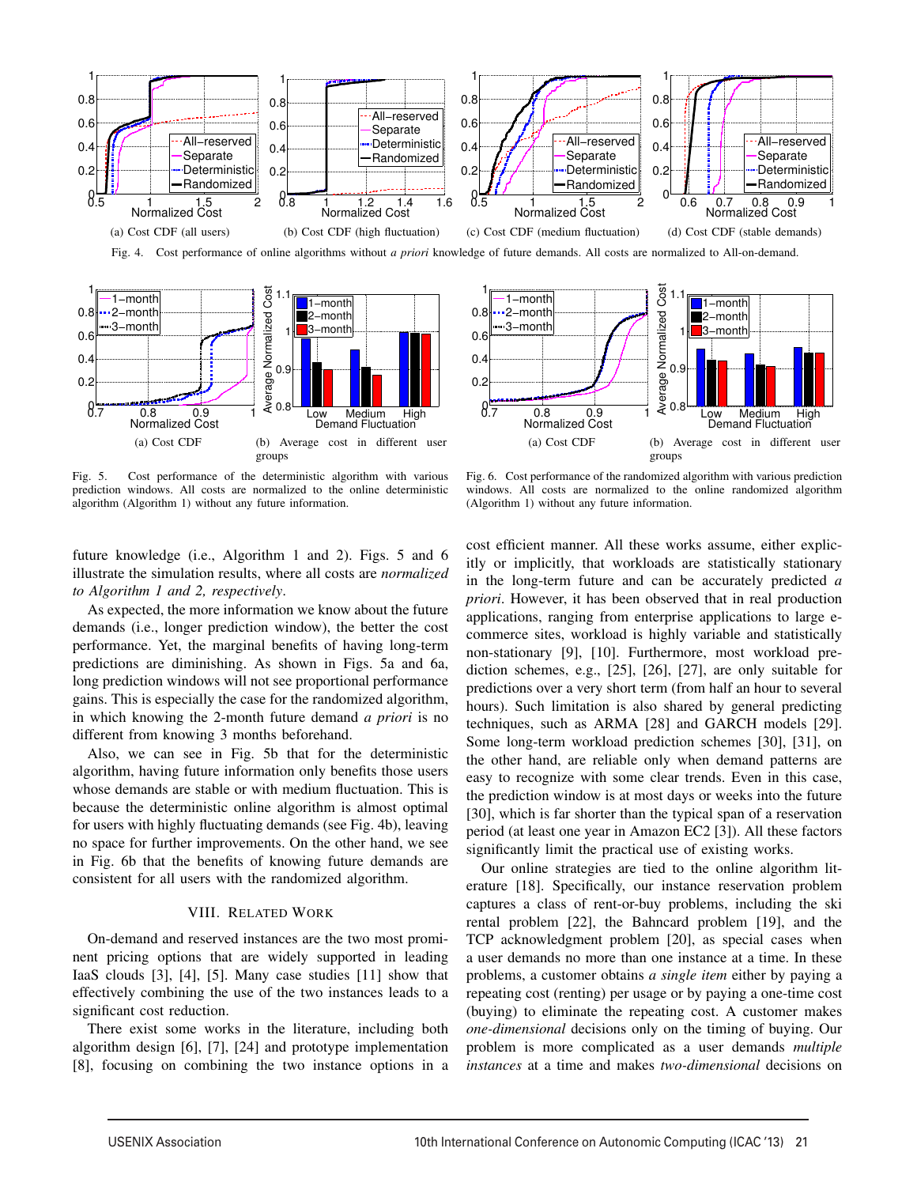

0.2 0.4  $0.6$ 0.8 1

1−month 2−month 3−month



Fig. 5. Cost performance of the deterministic algorithm with various prediction windows. All costs are normalized to the online deterministic algorithm (Algorithm 1) without any future information.



 $\Omega$ .

Average Normalized Cost

Average

Normalized Cos

1

1−month 2−month 3−month

1.1

future knowledge (i.e., Algorithm 1 and 2). Figs. 5 and 6 illustrate the simulation results, where all costs are *normalized to Algorithm 1 and 2, respectively*.

As expected, the more information we know about the future demands (i.e., longer prediction window), the better the cost performance. Yet, the marginal benefits of having long-term predictions are diminishing. As shown in Figs. 5a and 6a, long prediction windows will not see proportional performance gains. This is especially the case for the randomized algorithm, in which knowing the 2-month future demand *a priori* is no different from knowing 3 months beforehand.

Also, we can see in Fig. 5b that for the deterministic algorithm, having future information only benefits those users whose demands are stable or with medium fluctuation. This is because the deterministic online algorithm is almost optimal for users with highly fluctuating demands (see Fig. 4b), leaving no space for further improvements. On the other hand, we see in Fig. 6b that the benefits of knowing future demands are consistent for all users with the randomized algorithm.

### VIII. RELATED WORK

On-demand and reserved instances are the two most prominent pricing options that are widely supported in leading IaaS clouds [3], [4], [5]. Many case studies [11] show that effectively combining the use of the two instances leads to a significant cost reduction.

There exist some works in the literature, including both algorithm design [6], [7], [24] and prototype implementation [8], focusing on combining the two instance options in a

cost efficient manner. All these works assume, either explicitly or implicitly, that workloads are statistically stationary in the long-term future and can be accurately predicted *a priori*. However, it has been observed that in real production applications, ranging from enterprise applications to large ecommerce sites, workload is highly variable and statistically non-stationary [9], [10]. Furthermore, most workload prediction schemes, e.g., [25], [26], [27], are only suitable for predictions over a very short term (from half an hour to several hours). Such limitation is also shared by general predicting techniques, such as ARMA [28] and GARCH models [29]. Some long-term workload prediction schemes [30], [31], on the other hand, are reliable only when demand patterns are easy to recognize with some clear trends. Even in this case, the prediction window is at most days or weeks into the future [30], which is far shorter than the typical span of a reservation period (at least one year in Amazon EC2 [3]). All these factors significantly limit the practical use of existing works.

Our online strategies are tied to the online algorithm literature [18]. Specifically, our instance reservation problem captures a class of rent-or-buy problems, including the ski rental problem [22], the Bahncard problem [19], and the TCP acknowledgment problem [20], as special cases when a user demands no more than one instance at a time. In these problems, a customer obtains *a single item* either by paying a repeating cost (renting) per usage or by paying a one-time cost (buying) to eliminate the repeating cost. A customer makes *one-dimensional* decisions only on the timing of buying. Our problem is more complicated as a user demands *multiple instances* at a time and makes *two-dimensional* decisions on